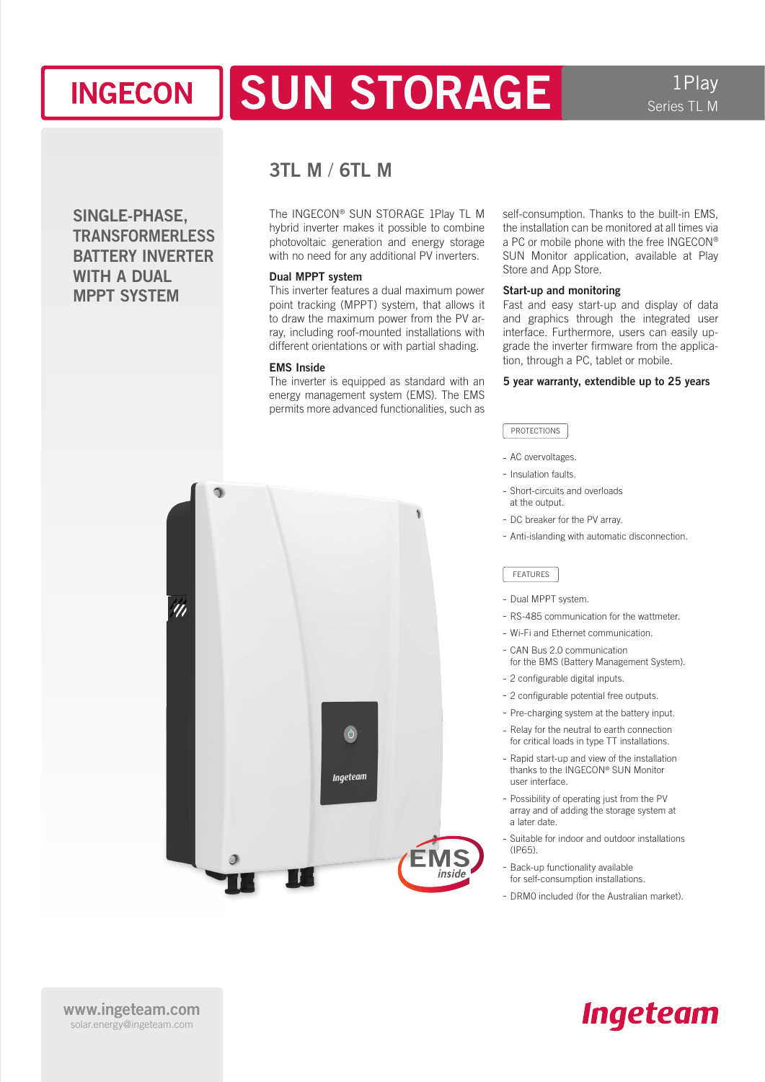## SUN STORAGE **INGECON**

1Play Series TL M

SINGLE-PHASE, **TRANSFORMERLESS** BATTERY INVERTER WITH A DUAL MPPT SYSTEM

 $\eta$ 

## 3TL M / 6TL M

The INGECON® SUN STORAGE 1Play TL M hybrid inverter makes it possible to combine photovoltaic generation and energy storage with no need for any additional PV inverters.

#### Dual MPPT system

This inverter features a dual maximum power point tracking (MPPT) system, that allows it to draw the maximum power from the PV array, including roof-mounted installations with different orientations or with partial shading.

#### EMS Inside

The inverter is equipped as standard with an energy management system (EMS). The EMS permits more advanced functionalities, such as

 $\theta$ 

Ingeteam

insid

self-consumption. Thanks to the built-in EMS, the installation can be monitored at all times via a PC or mobile phone with the free INGECON® SUN Monitor application, available at Play Store and App Store.

#### Start-up and monitoring

Fast and easy start-up and display of data and graphics through the integrated user interface. Furthermore, users can easily upgrade the inverter firmware from the application, through a PC, tablet or mobile.

#### 5 year warranty, extendible up to 25 years

#### PROTECTIONS

- AC overvoltages.
- Insulation faults.
- Short-circuits and overloads at the output.
- DC breaker for the PV array.
- Anti-islanding with automatic disconnection.

#### FEATURES

- Dual MPPT system.
- RS-485 communication for the wattmeter.
- Wi-Fi and Ethernet communication.
- CAN Bus 2.0 communication for the BMS (Battery Management System).
- 2 configurable digital inputs.
- 2 configurable potential free outputs.
- Pre-charging system at the battery input.
- Relay for the neutral to earth connection for critical loads in type TT installations.
- Rapid start-up and view of the installation thanks to the INGECON® SUN Monitor user interface.
- Possibility of operating just from the PV array and of adding the storage system at a later date.
- Suitable for indoor and outdoor installations  $(IPE5)$
- Back-up functionality available for self-consumption installations.
- DRM0 included (for the Australian market).

# **Ingeteam**

www.ingeteam.com solar.energy@ingeteam.com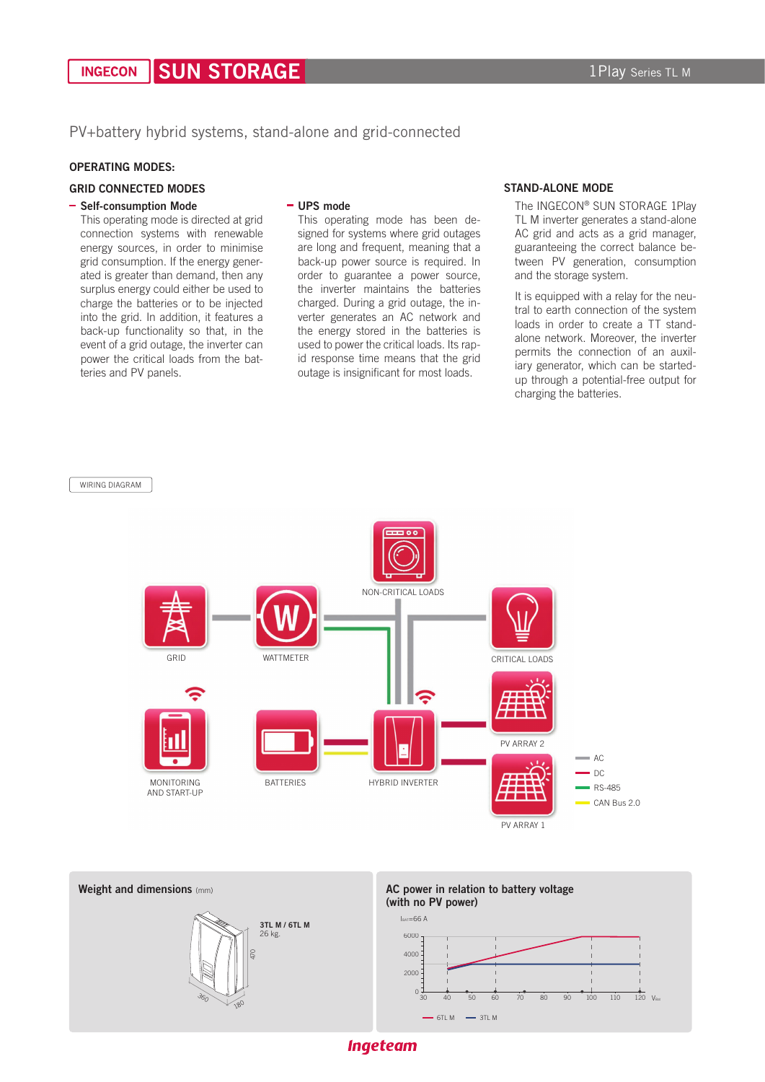PV+battery hybrid systems, stand-alone and grid-connected

#### OPERATING MODES:

#### GRID CONNECTED MODES

#### - Self-consumption Mode

This operating mode is directed at grid connection systems with renewable energy sources, in order to minimise grid consumption. If the energy generated is greater than demand, then any surplus energy could either be used to charge the batteries or to be injected into the grid. In addition, it features a back-up functionality so that, in the event of a grid outage, the inverter can power the critical loads from the batteries and PV panels.

#### UPS mode

This operating mode has been designed for systems where grid outages are long and frequent, meaning that a back-up power source is required. In order to guarantee a power source, the inverter maintains the batteries charged. During a grid outage, the inverter generates an AC network and the energy stored in the batteries is used to power the critical loads. Its rapid response time means that the grid outage is insignificant for most loads.

#### STAND-ALONE MODE

The INGECON® SUN STORAGE 1Play TL M inverter generates a stand-alone AC grid and acts as a grid manager, guaranteeing the correct balance between PV generation, consumption and the storage system.

It is equipped with a relay for the neutral to earth connection of the system loads in order to create a TT standalone network. Moreover, the inverter permits the connection of an auxiliary generator, which can be startedup through a potential-free output for charging the batteries.







**Ingeteam**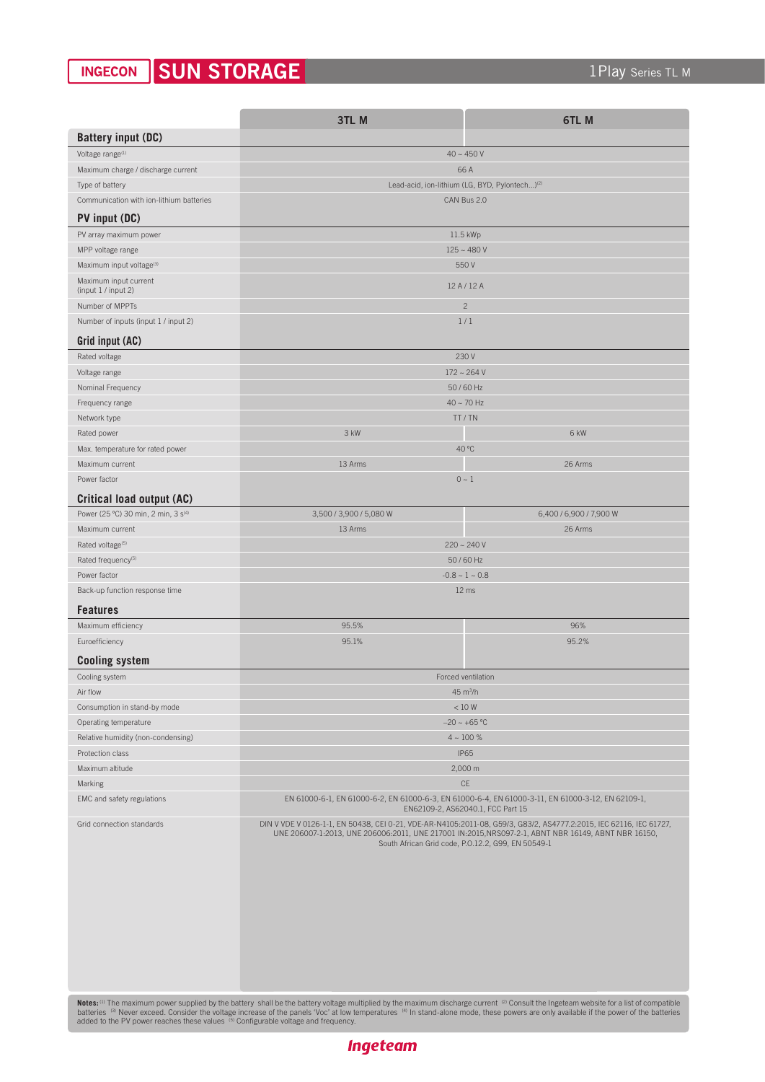#### SUN STORAGE **INGECON**

|                                                                                                                                                                                                                                                                                                                                                                                                                                                                           | 3TL M                                                                                                                                                                                                                                                                           | 6TL <sub>M</sub>        |
|---------------------------------------------------------------------------------------------------------------------------------------------------------------------------------------------------------------------------------------------------------------------------------------------------------------------------------------------------------------------------------------------------------------------------------------------------------------------------|---------------------------------------------------------------------------------------------------------------------------------------------------------------------------------------------------------------------------------------------------------------------------------|-------------------------|
| <b>Battery input (DC)</b>                                                                                                                                                                                                                                                                                                                                                                                                                                                 |                                                                                                                                                                                                                                                                                 |                         |
| Voltage range <sup>(1)</sup>                                                                                                                                                                                                                                                                                                                                                                                                                                              | $40 - 450V$                                                                                                                                                                                                                                                                     |                         |
| Maximum charge / discharge current                                                                                                                                                                                                                                                                                                                                                                                                                                        | 66 A                                                                                                                                                                                                                                                                            |                         |
| Type of battery                                                                                                                                                                                                                                                                                                                                                                                                                                                           | Lead-acid, ion-lithium (LG, BYD, Pylontech) <sup>(2)</sup>                                                                                                                                                                                                                      |                         |
| Communication with ion-lithium batteries                                                                                                                                                                                                                                                                                                                                                                                                                                  | CAN Bus 2.0                                                                                                                                                                                                                                                                     |                         |
| PV input (DC)                                                                                                                                                                                                                                                                                                                                                                                                                                                             |                                                                                                                                                                                                                                                                                 |                         |
| PV array maximum power                                                                                                                                                                                                                                                                                                                                                                                                                                                    | 11.5 kWp                                                                                                                                                                                                                                                                        |                         |
| MPP voltage range                                                                                                                                                                                                                                                                                                                                                                                                                                                         | $125 - 480V$                                                                                                                                                                                                                                                                    |                         |
| Maximum input voltage <sup>(3)</sup>                                                                                                                                                                                                                                                                                                                                                                                                                                      | 550 V                                                                                                                                                                                                                                                                           |                         |
| Maximum input current<br>(input 1 / input 2)                                                                                                                                                                                                                                                                                                                                                                                                                              | 12 A / 12 A                                                                                                                                                                                                                                                                     |                         |
| Number of MPPTs                                                                                                                                                                                                                                                                                                                                                                                                                                                           | $\overline{c}$                                                                                                                                                                                                                                                                  |                         |
| Number of inputs (input 1 / input 2)                                                                                                                                                                                                                                                                                                                                                                                                                                      | 1/1                                                                                                                                                                                                                                                                             |                         |
| Grid input (AC)                                                                                                                                                                                                                                                                                                                                                                                                                                                           |                                                                                                                                                                                                                                                                                 |                         |
| Rated voltage                                                                                                                                                                                                                                                                                                                                                                                                                                                             | 230V                                                                                                                                                                                                                                                                            |                         |
| Voltage range                                                                                                                                                                                                                                                                                                                                                                                                                                                             | $172 - 264$ V                                                                                                                                                                                                                                                                   |                         |
| Nominal Frequency                                                                                                                                                                                                                                                                                                                                                                                                                                                         | 50/60 Hz                                                                                                                                                                                                                                                                        |                         |
| Frequency range                                                                                                                                                                                                                                                                                                                                                                                                                                                           | $40 - 70$ Hz                                                                                                                                                                                                                                                                    |                         |
| Network type                                                                                                                                                                                                                                                                                                                                                                                                                                                              | TT/TN                                                                                                                                                                                                                                                                           |                         |
| Rated power                                                                                                                                                                                                                                                                                                                                                                                                                                                               | 3 kW                                                                                                                                                                                                                                                                            | 6 kW                    |
| Max. temperature for rated power                                                                                                                                                                                                                                                                                                                                                                                                                                          | 40 °C                                                                                                                                                                                                                                                                           |                         |
| Maximum current                                                                                                                                                                                                                                                                                                                                                                                                                                                           | 13 Arms                                                                                                                                                                                                                                                                         | 26 Arms                 |
| Power factor                                                                                                                                                                                                                                                                                                                                                                                                                                                              | $0 - 1$                                                                                                                                                                                                                                                                         |                         |
| <b>Critical load output (AC)</b>                                                                                                                                                                                                                                                                                                                                                                                                                                          |                                                                                                                                                                                                                                                                                 |                         |
| Power (25 °C) 30 min, 2 min, 3 s <sup>(4)</sup>                                                                                                                                                                                                                                                                                                                                                                                                                           | 3,500 / 3,900 / 5,080 W                                                                                                                                                                                                                                                         | 6,400 / 6,900 / 7,900 W |
| Maximum current                                                                                                                                                                                                                                                                                                                                                                                                                                                           | 13 Arms                                                                                                                                                                                                                                                                         | 26 Arms                 |
| Rated voltage <sup>(5)</sup><br>Rated frequency <sup>(5)</sup>                                                                                                                                                                                                                                                                                                                                                                                                            | $220 - 240V$                                                                                                                                                                                                                                                                    |                         |
| Power factor                                                                                                                                                                                                                                                                                                                                                                                                                                                              | 50/60 Hz<br>$-0.8 \sim 1 \sim 0.8$                                                                                                                                                                                                                                              |                         |
| Back-up function response time                                                                                                                                                                                                                                                                                                                                                                                                                                            | 12 ms                                                                                                                                                                                                                                                                           |                         |
|                                                                                                                                                                                                                                                                                                                                                                                                                                                                           |                                                                                                                                                                                                                                                                                 |                         |
| <b>Features</b>                                                                                                                                                                                                                                                                                                                                                                                                                                                           |                                                                                                                                                                                                                                                                                 |                         |
| Maximum efficiency<br>Euroefficiency                                                                                                                                                                                                                                                                                                                                                                                                                                      | 95.5%<br>95.1%                                                                                                                                                                                                                                                                  | 96%<br>95.2%            |
|                                                                                                                                                                                                                                                                                                                                                                                                                                                                           |                                                                                                                                                                                                                                                                                 |                         |
| <b>Cooling system</b>                                                                                                                                                                                                                                                                                                                                                                                                                                                     |                                                                                                                                                                                                                                                                                 |                         |
| Cooling system<br>Air flow                                                                                                                                                                                                                                                                                                                                                                                                                                                | Forced ventilation<br>45 m <sup>3</sup> /h                                                                                                                                                                                                                                      |                         |
| Consumption in stand-by mode                                                                                                                                                                                                                                                                                                                                                                                                                                              | < 10 W                                                                                                                                                                                                                                                                          |                         |
| Operating temperature                                                                                                                                                                                                                                                                                                                                                                                                                                                     | $-20 - +65$ °C                                                                                                                                                                                                                                                                  |                         |
| Relative humidity (non-condensing)                                                                                                                                                                                                                                                                                                                                                                                                                                        | $4 - 100 %$                                                                                                                                                                                                                                                                     |                         |
| Protection class                                                                                                                                                                                                                                                                                                                                                                                                                                                          | <b>IP65</b>                                                                                                                                                                                                                                                                     |                         |
| Maximum altitude                                                                                                                                                                                                                                                                                                                                                                                                                                                          | 2,000 m                                                                                                                                                                                                                                                                         |                         |
| Marking                                                                                                                                                                                                                                                                                                                                                                                                                                                                   | <b>CE</b>                                                                                                                                                                                                                                                                       |                         |
| EMC and safety regulations                                                                                                                                                                                                                                                                                                                                                                                                                                                | EN 61000-6-1, EN 61000-6-2, EN 61000-6-3, EN 61000-6-4, EN 61000-3-11, EN 61000-3-12, EN 62109-1,<br>EN62109-2, AS62040.1, FCC Part 15                                                                                                                                          |                         |
| Grid connection standards                                                                                                                                                                                                                                                                                                                                                                                                                                                 | DIN V VDE V 0126-1-1, EN 50438, CEI 0-21, VDE-AR-N4105:2011-08, G59/3, G83/2, AS4777.2:2015, IEC 62116, IEC 61727,<br>UNE 206007-1:2013, UNE 206006:2011, UNE 217001 IN:2015, NRS097-2-1, ABNT NBR 16149, ABNT NBR 16150,<br>South African Grid code, P.O.12.2, G99, EN 50549-1 |                         |
| Notes: (1) The maximum power supplied by the battery shall be the battery voltage multiplied by the maximum discharge current (2) Consult the Ingeteam website for a list of compatible<br>batteries (3) Never exceed. Consider the voltage increase of the panels 'Voc' at low temperatures (4) In stand-alone mode, these powers are only available if the power of the batteries<br>added to the PV power reaches these values (5) Configurable voltage and frequency. |                                                                                                                                                                                                                                                                                 |                         |

**Ingeteam**